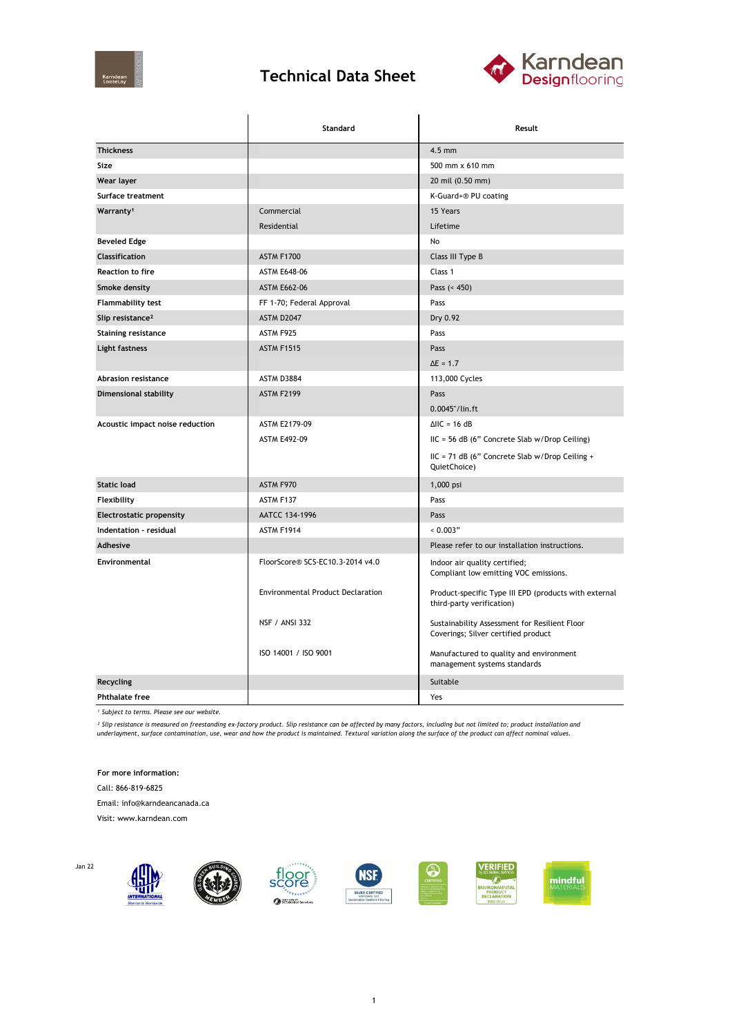

## **Technical Data Sheet**



|                                 | Standard                                 | Result                                                                               |  |
|---------------------------------|------------------------------------------|--------------------------------------------------------------------------------------|--|
| <b>Thickness</b>                |                                          | $4.5$ mm                                                                             |  |
| Size                            |                                          | 500 mm x 610 mm                                                                      |  |
| Wear layer                      |                                          | 20 mil (0.50 mm)                                                                     |  |
| Surface treatment               |                                          | K-Guard+® PU coating                                                                 |  |
| Warranty <sup>1</sup>           | Commercial                               | 15 Years                                                                             |  |
|                                 | Residential                              | Lifetime                                                                             |  |
| <b>Beveled Edge</b>             |                                          | No                                                                                   |  |
| <b>Classification</b>           | <b>ASTM F1700</b>                        | Class III Type B                                                                     |  |
| <b>Reaction to fire</b>         | <b>ASTM E648-06</b>                      | Class 1                                                                              |  |
| Smoke density                   | <b>ASTM E662-06</b>                      | Pass $(< 450)$                                                                       |  |
| Flammability test               | FF 1-70; Federal Approval                | Pass                                                                                 |  |
| Slip resistance <sup>2</sup>    | ASTM D2047                               | Dry 0.92                                                                             |  |
| <b>Staining resistance</b>      | ASTM F925                                | Pass                                                                                 |  |
| Light fastness                  | <b>ASTM F1515</b>                        | Pass                                                                                 |  |
|                                 |                                          | $\Delta E = 1.7$                                                                     |  |
| <b>Abrasion resistance</b>      | ASTM D3884                               | 113,000 Cycles                                                                       |  |
| <b>Dimensional stability</b>    | <b>ASTM F2199</b>                        | Pass                                                                                 |  |
|                                 |                                          | 0.0045"/lin.ft                                                                       |  |
| Acoustic impact noise reduction | ASTM E2179-09                            | $\triangle$ IIC = 16 dB                                                              |  |
|                                 | <b>ASTM E492-09</b>                      | $HC = 56 dB$ (6" Concrete Slab w/Drop Ceiling)                                       |  |
|                                 |                                          | IIC = 71 dB (6" Concrete Slab w/Drop Ceiling +<br>QuietChoice)                       |  |
| <b>Static load</b>              | ASTM F970                                | 1,000 psi                                                                            |  |
| Flexibility                     | ASTM F137                                | Pass                                                                                 |  |
| <b>Electrostatic propensity</b> | AATCC 134-1996                           | Pass                                                                                 |  |
| Indentation - residual          | ASTM F1914                               | 0.003"                                                                               |  |
| Adhesive                        |                                          | Please refer to our installation instructions.                                       |  |
| <b>Environmental</b>            | FloorScore® SCS-EC10.3-2014 v4.0         | Indoor air quality certified;<br>Compliant low emitting VOC emissions.               |  |
|                                 | <b>Environmental Product Declaration</b> | Product-specific Type III EPD (products with external<br>third-party verification)   |  |
|                                 | <b>NSF / ANSI 332</b>                    | Sustainability Assessment for Resilient Floor<br>Coverings; Silver certified product |  |
|                                 | ISO 14001 / ISO 9001                     | Manufactured to quality and environment<br>management systems standards              |  |
| Recycling                       |                                          | Suitable                                                                             |  |
| <b>Phthalate free</b>           |                                          | Yes                                                                                  |  |

*¹ Subject to terms. Please see our website.*

<sup>2</sup> Slip resistance is measured on freestanding ex-factory product. Slip resistance can be affected by many factors, including but not limited to; product installation and<br>underlayment, surface contamination, use, wear and

**For more information:**

Call: 866-819-6825

Email: info@karndeancanada.ca

Visit: www.karndean.com